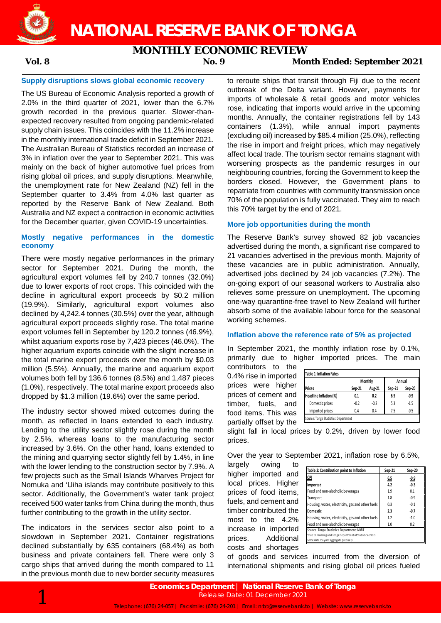

**NATIONAL RESERVE BANK OF TONGA**

# **MONTHLY ECONOMIC REVIEW**<br>Morrocal Mon

## **Vol. 8 No. 9 Month Ended: September 2021**

#### **Supply disruptions slows global economic recovery**

The US Bureau of Economic Analysis reported a growth of 2.0% in the third quarter of 2021, lower than the 6.7% growth recorded in the previous quarter. Slower-thanexpected recovery resulted from ongoing pandemic-related supply chain issues. This coincides with the 11.2% increase in the monthly international trade deficit in September 2021. The Australian Bureau of Statistics recorded an increase of 3% in inflation over the year to September 2021. This was mainly on the back of higher automotive fuel prices from rising global oil prices, and supply disruptions. Meanwhile, the unemployment rate for New Zealand (NZ) fell in the September quarter to 3.4% from 4.0% last quarter as reported by the Reserve Bank of New Zealand. Both Australia and NZ expect a contraction in economic activities for the December quarter, given COVID-19 uncertainties.

#### **Mostly negative performances in the domestic economy**

There were mostly negative performances in the primary sector for September 2021. During the month, the agricultural export volumes fell by 240.7 tonnes (32.0%) due to lower exports of root crops. This coincided with the decline in agricultural export proceeds by \$0.2 million (19.9%). Similarly, agricultural export volumes also declined by 4,242.4 tonnes (30.5%) over the year, although agricultural export proceeds slightly rose. The total marine export volumes fell in September by 120.2 tonnes (46.9%), whilst aquarium exports rose by 7,423 pieces (46.0%). The higher aquarium exports coincide with the slight increase in the total marine export proceeds over the month by \$0.03 million (5.5%). Annually, the marine and aquarium export volumes both fell by 136.6 tonnes (8.5%) and 1,487 pieces (1.0%), respectively. The total marine export proceeds also dropped by \$1.3 million (19.6%) over the same period.

The industry sector showed mixed outcomes during the month, as reflected in loans extended to each industry. Lending to the utility sector slightly rose during the month by 2.5%, whereas loans to the manufacturing sector increased by 3.6%. On the other hand, loans extended to the mining and quarrying sector slightly fell by 1.4%, in line with the lower lending to the construction sector by 7.9%. A few projects such as the Small Islands Wharves Project for Nomuka and 'Uiha islands may contribute positively to this sector. Additionally, the Government's water tank project received 500 water tanks from China during the month, thus further contributing to the growth in the utility sector.

The indicators in the services sector also point to a slowdown in September 2021. Container registrations declined substantially by 635 containers (68.4%) as both business and private containers fell. There were only 3 cargo ships that arrived during the month compared to 11 in the previous month due to new border security measures

to reroute ships that transit through Fiji due to the recent outbreak of the Delta variant. However, payments for imports of wholesale & retail goods and motor vehicles rose, indicating that imports would arrive in the upcoming months. Annually, the container registrations fell by 143 containers (1.3%), while annual import payments (excluding oil) increased by \$85.4 million (25.0%), reflecting the rise in import and freight prices, which may negatively affect local trade. The tourism sector remains stagnant with worsening prospects as the pandemic resurges in our neighbouring countries, forcing the Government to keep the borders closed. However, the Government plans to repatriate from countries with community transmission once 70% of the population is fully vaccinated. They aim to reach this 70% target by the end of 2021.

#### **More job opportunities during the month**

The Reserve Bank's survey showed 82 job vacancies advertised during the month, a significant rise compared to 21 vacancies advertised in the previous month. Majority of these vacancies are in public administration. Annually, advertised jobs declined by 24 job vacancies (7.2%). The on-going export of our seasonal workers to Australia also relieves some pressure on unemployment. The upcoming one-way quarantine-free travel to New Zealand will further absorb some of the available labour force for the seasonal working schemes.

## **Inflation above the reference rate of 5% as projected**

In September 2021, the monthly inflation rose by 0.1%, primarily due to higher imported prices. The main

contributors to the 0.4% rise in imported prices were higher prices of cement and timber, fuels, and food items. This was partially offset by the

| <b>Table 1: Inflation Rates</b>     |        |         |        |        |
|-------------------------------------|--------|---------|--------|--------|
|                                     |        | Monthly |        | Annual |
| <b>Prices</b>                       | Sep-21 | Aug-21  | Sep-21 | Sep-20 |
| Headline Inflation (%)              | 0.1    | 0.2     | 6.5    | $-0.9$ |
| Domestic prices                     | $-0.2$ | $-0.2$  | 5.3    | $-1.5$ |
| Imported prices                     | 0.4    | 0.4     | 7.5    | $-0.5$ |
| Source: Tonga Statistics Department |        |         |        |        |

slight fall in local prices by 0.2%, driven by lower food prices.

Over the year to September 2021, inflation rose by 6.5%,

largely owing to higher imported and local prices. Higher prices of food items, fuels, and cement and timber contributed the most to the 4.2% increase in imported prices. Additional costs and shortages

| Table 2: Contribution point to Inflation                   | Sep-21 | Sep-20      |
|------------------------------------------------------------|--------|-------------|
| <u>CPI</u>                                                 | 6.5    | <u>-0.9</u> |
| Imported                                                   | 4.2    | $-0.3$      |
| Food and non-alcoholic beverages                           | 1.9    | 0.1         |
| Transport                                                  | 1.8    | $-0.9$      |
| Housing, water, electricity, gas and other fuels           | 0.3    | $-0.1$      |
| <b>Domestic</b>                                            | 2.3    | $-0.7$      |
| Housing, water, electricity, gas and other fuels           | 1.2    | $-1.0$      |
| Food and non-alcoholic beverages                           | 1.0    | 0.2         |
| Source: Tonga Statistics Department; NRBT                  |        |             |
| *Due to rounding and Tonga Department of Statistics errors |        |             |
| some data may not aggregate precisely.                     |        |             |

of goods and services incurred from the diversion of international shipments and rising global oil prices fueled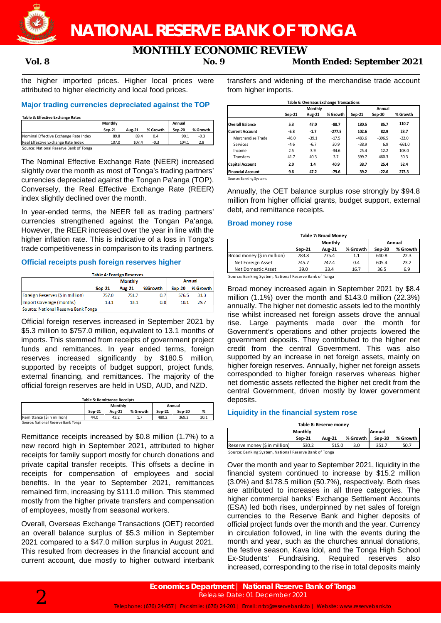

# **MONTHLY ECONOMIC REVIEW**<br>No. 9 Mor

**Vol. 8 No. 9 Month Ended: September 2021**

the higher imported prices. Higher local prices were attributed to higher electricity and local food prices.

#### **Major trading currencies depreciated against the TOP**

**Table 3: Effective Exchange Rates**

|                                        | <b>Monthly</b> |        |          | Annual   |          |
|----------------------------------------|----------------|--------|----------|----------|----------|
|                                        | Sep-21         | Aug-21 | % Growth | $Sen-20$ | % Growth |
| Nominal Effective Exchange Rate Index  | 89.8           | 89.4   | 0.4      | 90.1     | $-0.3$   |
| Real Effective Exchange Rate Index     | 107.0          | 107.4  | $-0.3$   | 104.1    | 2.8      |
| Source: National Reserve Bank of Tonga |                |        |          |          |          |

The Nominal Effective Exchange Rate (NEER) increased slightly over the month as most of Tonga's trading partners' currencies depreciated against the Tongan Pa'anga (TOP). Conversely, the Real Effective Exchange Rate (REER) index slightly declined over the month.

In year-ended terms, the NEER fell as trading partners' currencies strengthened against the Tongan Pa'anga. However, the REER increased over the year in line with the higher inflation rate. This is indicative of a loss in Tonga's trade competitiveness in comparison to its trading partners.

## **Official receipts push foreign reserves higher**

| <b>Table 4: Foreign Reserves</b>    |                                                              |       |     |       |      |  |  |
|-------------------------------------|--------------------------------------------------------------|-------|-----|-------|------|--|--|
|                                     | <b>Annual</b><br><b>Monthly</b>                              |       |     |       |      |  |  |
|                                     | %Growth<br>% Growth<br><b>Aug-21</b><br>$Sen-20$<br>$Sep-21$ |       |     |       |      |  |  |
| Foreign Reserves (S in million)     | 757.0                                                        | 751.7 | 0.7 | 576.5 | 31.3 |  |  |
| Import Coverage (months)            | 13.1                                                         | 13.1  | 0.0 | 10.1  | 29.7 |  |  |
| Source: National Reserve Bank Tonga |                                                              |       |     |       |      |  |  |

Official foreign reserves increased in September 2021 by \$5.3 million to \$757.0 million, equivalent to 13.1 months of imports. This stemmed from receipts of government project funds and remittances. In year ended terms, foreign reserves increased significantly by \$180.5 million, supported by receipts of budget support, project funds, external financing, and remittances. The majority of the official foreign reserves are held in USD, AUD, and NZD.

| <b>Table 5: Remittance Receipts</b> |                   |        |          |        |        |      |  |
|-------------------------------------|-------------------|--------|----------|--------|--------|------|--|
|                                     | Monthly<br>Annual |        |          |        |        |      |  |
|                                     | $Sen-21$          | Aug-21 | % Growth | Sep-21 | Sep-20 | %    |  |
| Remittance (\$ in million)          | 44.0              | 43.2   |          | 480.2  | 369.2  | 30.1 |  |
| Source: National Reserve Bank Tonga |                   |        |          |        |        |      |  |

Remittance receipts increased by \$0.8 million (1.7%) to a new record high in September 2021, attributed to higher receipts for family support mostly for church donations and private capital transfer receipts. This offsets a decline in receipts for compensation of employees and social benefits. In the year to September 2021, remittances remained firm, increasing by \$111.0 million. This stemmed mostly from the higher private transfers and compensation of employees, mostly from seasonal workers.

Overall, Overseas Exchange Transactions (OET) recorded an overall balance surplus of \$5.3 million in September 2021 compared to a \$47.0 million surplus in August 2021. This resulted from decreases in the financial account and current account, due mostly to higher outward interbank

transfers and widening of the merchandise trade account from higher imports.

| Table 6: Overseas Exchange Transactions |         |         |          |          |               |          |  |  |
|-----------------------------------------|---------|---------|----------|----------|---------------|----------|--|--|
|                                         |         | Monthly |          |          | Annual        |          |  |  |
|                                         | Sep-21  | Aug-21  | % Growth | Sep-21   | <b>Sep-20</b> | % Growth |  |  |
| <b>Overall Balance</b>                  | 5.3     | 47.0    | $-88.7$  | 180.5    | 85.7          | 110.7    |  |  |
| <b>Current Account</b>                  | $-6.3$  | $-1.7$  | $-277.5$ | 102.6    | 82.9          | 23.7     |  |  |
| Merchandise Trade                       | $-46.0$ | $-39.1$ | $-17.5$  | $-483.6$ | $-396.5$      | $-22.0$  |  |  |
| Services                                | $-4.6$  | $-6.7$  | 30.9     | $-38.9$  | 6.9           | $-661.0$ |  |  |
| Income                                  | 2.5     | 3.9     | $-34.6$  | 25.4     | 12.2          | 108.0    |  |  |
| <b>Transfers</b>                        | 41.7    | 40.3    | 3.7      | 599.7    | 460.3         | 30.3     |  |  |
| <b>Capital Account</b>                  | 2.0     | 1.4     | 40.9     | 38.7     | 25.4          | 52.4     |  |  |
| <b>Financial Account</b>                | 9.6     | 47.2    | $-79.6$  | 39.2     | $-22.6$       | 273.3    |  |  |

Source: Banking Systems

Annually, the OET balance surplus rose strongly by \$94.8 million from higher official grants, budget support, external debt, and remittance receipts.

#### **Broad money rose**

| <b>Table 7: Broad Money</b>                                   |          |  |  |  |  |  |
|---------------------------------------------------------------|----------|--|--|--|--|--|
| Monthly<br>Annual                                             |          |  |  |  |  |  |
| % Growth<br>Sep-20<br><b>Aug-21</b><br>Sep-21                 | % Growth |  |  |  |  |  |
| Broad money (\$ in million)<br>783.8<br>640.8<br>775.4<br>1.1 | 22.3     |  |  |  |  |  |
| Net Foreign Asset<br>605.4<br>742.4<br>0.4<br>745.7           | 23.2     |  |  |  |  |  |
| Net Domestic Asset<br>16.7<br>36.5<br>39.0<br>33.4            | 6.9      |  |  |  |  |  |
| Source: Banking System, National Reserve Bank of Tonga        |          |  |  |  |  |  |

Broad money increased again in September 2021 by \$8.4 million  $(1.1\%)$  over the month and \$143.0 million  $(22.3\%)$ annually. The higher net domestic assets led to the monthly rise whilst increased net foreign assets drove the annual rise. Large payments made over the month for Government's operations and other projects lowered the government deposits. They contributed to the higher net credit from the central Government. This was also supported by an increase in net foreign assets, mainly on higher foreign reserves. Annually, higher net foreign assets corresponded to higher foreign reserves whereas higher net domestic assets reflected the higher net credit from the central Government, driven mostly by lower government deposits.

## **Liquidity in the financial system rose**

| Table 8: Reserve monev |               |     |          |          |  |  |  |
|------------------------|---------------|-----|----------|----------|--|--|--|
|                        |               |     |          |          |  |  |  |
| Sep-21                 | <b>Aug-21</b> |     | Sep-20   | % Growth |  |  |  |
| 530.2                  | 515.0         | 3.0 | 351.     | 50.7     |  |  |  |
|                        | Monthly       |     | % Growth | Annual   |  |  |  |

Source: Banking System, National Reserve Bank of Tonga

Over the month and year to September 2021, liquidity in the financial system continued to increase by \$15.2 million (3.0%) and \$178.5 million (50.7%), respectively. Both rises are attributed to increases in all three categories. The higher commercial banks' Exchange Settlement Accounts (ESA) led both rises, underpinned by net sales of foreign currencies to the Reserve Bank and higher deposits of official project funds over the month and the year. Currency in circulation followed, in line with the events during the month and year, such as the churches annual donations, the festive season, Kava Idol, and the Tonga High School Ex-Students' Fundraising. Required reserves also increased, corresponding to the rise in total deposits mainly